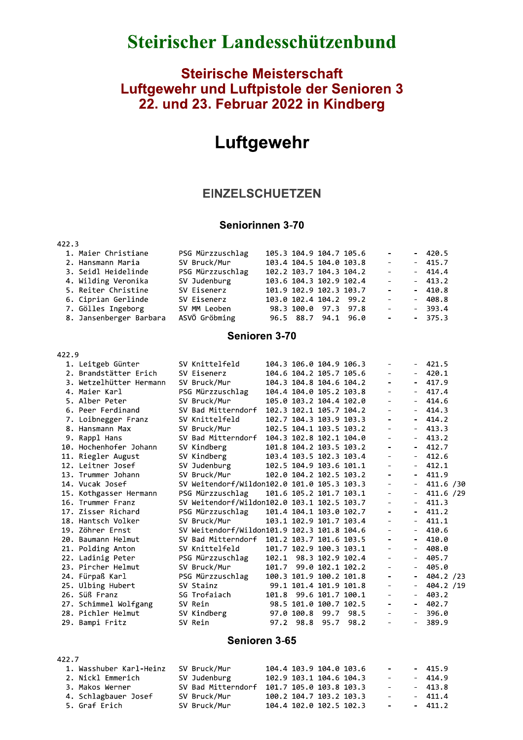# Steirischer Landesschützenbund

# **Steirische Meisterschaft** Luftgewehr und Luftpistole der Senioren 3 22. und 23. Februar 2022 in Kindberg

# Luftgewehr

## **EINZELSCHUETZEN**

#### Seniorinnen 3-70

# 422.3 22.3<br>
1. Maier Christiane PSG Mürzzuschlag 105.3 104.9 104.7 105.6 - - 420.5<br>
2. Hansmann Maria SV Bruck/Mur 103.4 104.5 104.0 103.8 - - 415.7<br>
3. Seidl Heidelinde PSG Mürzzuschlag 102.2 103.7 104.3 104.2 - - 414.4<br>
4. Wil

#### Senioren 3-70

#### 422.9

| 1. Leitgeb Günter       | SV Knittelfeld                              | 104.3 106.0 104.9 106.3 |      |                         |                          |                          | $-421.5$  |
|-------------------------|---------------------------------------------|-------------------------|------|-------------------------|--------------------------|--------------------------|-----------|
| 2. Brandstätter Erich   | SV Eisenerz                                 | 104.6 104.2 105.7 105.6 |      |                         | $\blacksquare$           |                          | 420.1     |
| 3. Wetzelhütter Hermann | SV Bruck/Mur                                | 104.3 104.8 104.6 104.2 |      |                         |                          |                          | 417.9     |
| 4. Maier Karl           | PSG Mürzzuschlag                            | 104.4 104.0 105.2 103.8 |      |                         | $\blacksquare$           |                          | 417.4     |
| 5. Alber Peter          | SV Bruck/Mur                                | 105.0 103.2 104.4 102.0 |      |                         |                          |                          | 414.6     |
| 6. Peer Ferdinand       | SV Bad Mitterndorf                          | 102.3 102.1 105.7 104.2 |      |                         | $\blacksquare$           |                          | 414.3     |
| 7. Loibnegger Franz     | SV Knittelfeld                              | 102.7 104.3 103.9 103.3 |      |                         |                          |                          | 414.2     |
| 8. Hansmann Max         | SV Bruck/Mur                                | 102.5 104.1 103.5 103.2 |      |                         | $\omega$                 | $\sim$ $-$               | 413.3     |
| 9. Rappl Hans           | SV Bad Mitterndorf                          | 104.3 102.8 102.1 104.0 |      |                         | $\blacksquare$           |                          | 413.2     |
| 10. Hochenhofer Johann  | SV Kindberg                                 | 101.8 104.2 103.5 103.2 |      |                         | $\blacksquare$           | $\sim$                   | 412.7     |
| 11. Riegler August      | SV Kindberg                                 | 103.4 103.5 102.3 103.4 |      |                         | $\blacksquare$           |                          | $-412.6$  |
| 12. Leitner Josef       | SV Judenburg                                |                         |      | 102.5 104.9 103.6 101.1 | $\sim$ .                 | $\sim$                   | 412.1     |
| 13. Trummer Johann      | SV Bruck/Mur                                | 102.0 104.2 102.5 103.2 |      |                         | $\blacksquare$           |                          | 411.9     |
| 14. Vucak Josef         | SV Weitendorf/Wildon102.0 101.0 105.3 103.3 |                         |      |                         | $\sim$                   | $\sim$                   | 411.6 /30 |
| 15. Kothgasser Hermann  | PSG Mürzzuschlag                            | 101.6 105.2 101.7 103.1 |      |                         | $\blacksquare$           |                          | 411.6 /29 |
| 16. Trummer Franz       | SV Weitendorf/Wildon102.0 103.1 102.5 103.7 |                         |      |                         | $\blacksquare$           | $\sim$                   | 411.3     |
| 17. Zisser Richard      | PSG Mürzzuschlag                            | 101.4 104.1 103.0 102.7 |      |                         | $\blacksquare$           |                          | 411.2     |
| 18. Hantsch Volker      | SV Bruck/Mur                                | 103.1 102.9 101.7 103.4 |      |                         |                          |                          | 411.1     |
| 19. Zöhrer Ernst        | SV Weitendorf/Wildon101.9 102.3 101.8 104.6 |                         |      |                         | $\blacksquare$           |                          | 410.6     |
| 20. Baumann Helmut      | SV Bad Mitterndorf 101.2 103.7 101.6 103.5  |                         |      |                         | $\blacksquare$           |                          | 410.0     |
| 21. Polding Anton       | SV Knittelfeld                              | 101.7 102.9 100.3 103.1 |      |                         | $\blacksquare$           |                          | 408.0     |
| 22. Ladinig Peter       | PSG Mürzzuschlag                            | 102.1 98.3 102.9 102.4  |      |                         | $\blacksquare$           |                          | 405.7     |
| 23. Pircher Helmut      | SV Bruck/Mur                                | 101.7 99.0 102.1 102.2  |      |                         | $\blacksquare$           | $-$                      | 405.0     |
| 24. Fürpaß Karl         | PSG Mürzzuschlag                            | 100.3 101.9 100.2 101.8 |      |                         | $\blacksquare$           |                          | 404.2 /23 |
| 25. Ulbing Hubert       | SV Stainz                                   | 99.1 101.4 101.9 101.8  |      |                         | $\blacksquare$           | $-$                      | 404.2 /19 |
| 26. Süß Franz           | SG Trofaiach                                | 101.8 99.6 101.7 100.1  |      |                         |                          |                          | 403.2     |
| 27. Schimmel Wolfgang   | SV Rein                                     | 98.5 101.0 100.7 102.5  |      |                         | $\Delta \sim 100$        | $\sim$                   | 402.7     |
| 28. Pichler Helmut      | SV Kindberg                                 | 97.0 100.8 99.7 98.5    |      |                         | $\overline{\phantom{a}}$ |                          | 396.0     |
| 29. Bampi Fritz         | SV Rein                                     | 97.2 98.8               | 95.7 | 98.2                    | $\overline{\phantom{a}}$ | $\overline{\phantom{0}}$ | 389.9     |
|                         |                                             |                         |      |                         |                          |                          |           |

#### Senioren 3-65

| 422.7                   |              |                                            |                         |          |
|-------------------------|--------------|--------------------------------------------|-------------------------|----------|
| 1. Wasshuber Karl-Heinz | SV Bruck/Mur | 104.4 103.9 104.0 103.6                    | <b>Service</b> State    | $-415.9$ |
| 2. Nickl Emmerich       | SV Judenburg | 102.9 103.1 104.6 104.3                    | <b>Service</b> State    | $-414.9$ |
| 3. Makos Werner         |              | SV Bad Mitterndorf 101.7 105.0 103.8 103.3 | <b>Service Contract</b> | $-413.8$ |
| 4. Schlagbauer Josef    | SV Bruck/Mur | 100.2 104.7 103.2 103.3                    | <b>Service</b>          | $-411.4$ |
| 5. Graf Erich           | SV Bruck/Mur | 104.4 102.0 102.5 102.3                    | <b>Service</b> State    | $-411.2$ |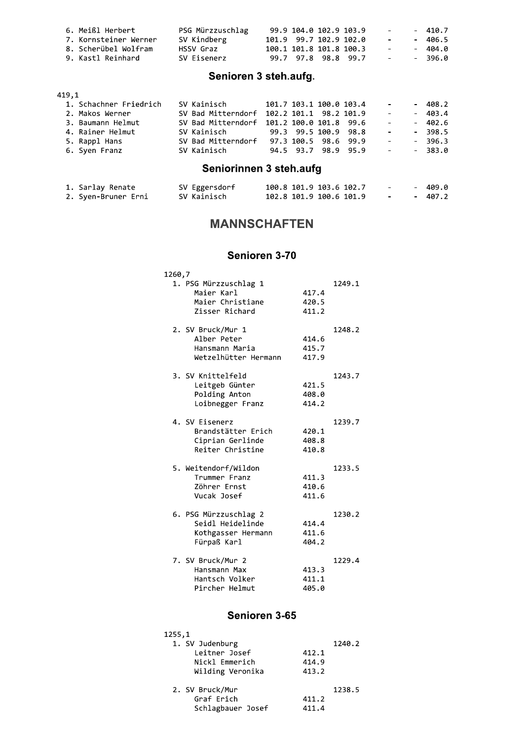| 6. Meißl Herbert      | PSG Mürzzuschlag | 99.9 104.0 102.9 103.9  |  | $\sim$ $\sim$ | $-410.7$ |
|-----------------------|------------------|-------------------------|--|---------------|----------|
| 7. Kornsteiner Werner | SV Kindberg      | 101.9 99.7 102.9 102.0  |  | $\sim$        | $-406.5$ |
| 8. Scherübel Wolfram  | HSSV Graz        | 100.1 101.8 101.8 100.3 |  | $\sim$        | - 404.0  |
| 9. Kastl Reinhard     | SV Eisenerz      | 99.7 97.8 98.8 99.7     |  | $\sim$        | - 396.0  |

# Senioren 3 steh.aufg.

| 419.1 |                        |                                                                        |  |                     |                      |          |
|-------|------------------------|------------------------------------------------------------------------|--|---------------------|----------------------|----------|
|       | 1. Schachner Friedrich | SV Kainisch 101.7 103.1 100.0 103.4                                    |  |                     | <b>Service</b> State | $-408.2$ |
|       | 2. Makos Werner        | SV Bad Mitterndorf 102.2 101.1 98.2 101.9                              |  |                     | <b>All Contracts</b> | $-403.4$ |
|       | 3. Baumann Helmut      | SV Bad Mitterndorf 101.2 100.0 101.8 99.6                              |  |                     | <b>All Contracts</b> | $-402.6$ |
|       | 4. Rainer Helmut       | SV Kainisch                             99.3     99.5   100.9     98.8 |  |                     | <b>Service</b> State | $-398.5$ |
|       | 5. Rappl Hans          | SV Bad Mitterndorf 97.3 100.5 98.6 99.9                                |  |                     | <b>All Contracts</b> | $-396.3$ |
|       | 6. Syen Franz          | SV Kainisch                                                            |  | 94.5 93.7 98.9 95.9 | <b>All Contracts</b> | $-383.0$ |
|       |                        |                                                                        |  |                     |                      |          |
|       |                        | $\sim$ $\sim$ $\sim$ $\sim$ $\sim$ $\sim$                              |  |                     |                      |          |

#### Seniorinnen 3 steh.aufg

| 1. Sarlay Renate    | SV Eggersdorf | 100.8 101.9 103.6 102.7 |  |  | - 409.0  |
|---------------------|---------------|-------------------------|--|--|----------|
| 2. Syen-Bruner Erni | SV Kainisch   | 102.8 101.9 100.6 101.9 |  |  | $-407.2$ |

# **MANNSCHAFTEN**

### Senioren 3-70

| 1260,7                |       |        |
|-----------------------|-------|--------|
| 1. PSG Mürzzuschlag 1 |       | 1249.1 |
| Maier Karl            | 417.4 |        |
| Maier Christiane      | 420.5 |        |
| Zisser Richard        | 411.2 |        |
|                       |       |        |
| 2. SV Bruck/Mur 1     |       | 1248.2 |
| Alber Peter           | 414.6 |        |
| Hansmann Maria        | 415.7 |        |
| Wetzelhütter Hermann  | 417.9 |        |
| 3. SV Knittelfeld     |       | 1243.7 |
| Leitgeb Günter        | 421.5 |        |
| Polding Anton         | 408.0 |        |
| Loibnegger Franz      | 414.2 |        |
|                       |       |        |
| 4. SV Eisenerz        |       | 1239.7 |
| Brandstätter Erich    | 420.1 |        |
| Ciprian Gerlinde      | 408.8 |        |
| Reiter Christine      | 410.8 |        |
|                       |       |        |
| 5. Weitendorf/Wildon  |       | 1233.5 |
| Trummer Franz         | 411.3 |        |
| Zöhrer Ernst          | 410.6 |        |
| Vucak Josef           | 411.6 |        |
|                       |       |        |
| 6. PSG Mürzzuschlag 2 |       | 1230.2 |
| Seidl Heidelinde      | 414.4 |        |
| Kothgasser Hermann    | 411.6 |        |
| Fürpaß Karl           | 404.2 |        |
| 7. SV Bruck/Mur 2     |       | 1229.4 |
| Hansmann Max          | 413.3 |        |
| Hantsch Volker        | 411.1 |        |
| Pircher Helmut        | 405.0 |        |
|                       |       |        |

# Senioren 3-65

| 1255,1<br>1. SV Judenburg |       | 1240.2 |
|---------------------------|-------|--------|
| Leitner Josef             | 412.1 |        |
| Nickl Emmerich            | 414.9 |        |
| Wilding Veronika          | 413.2 |        |
| 2. SV Bruck/Mur           |       | 1238.5 |
| Graf Erich                | 411.2 |        |
| Schlagbauer Josef         | 411.4 |        |